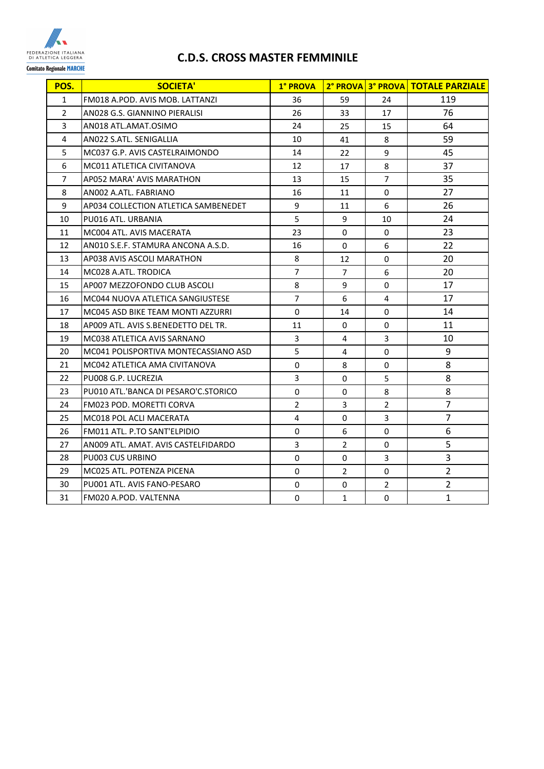

## **C.D.S. CROSS MASTER FEMMINILE**

| POS.           | <b>SOCIETA'</b>                      | 1° PROVA       |                |                | 2° PROVA 3° PROVA TOTALE PARZIALE |
|----------------|--------------------------------------|----------------|----------------|----------------|-----------------------------------|
| $\mathbf{1}$   | FM018 A.POD. AVIS MOB. LATTANZI      | 36             | 59             | 24             | 119                               |
| $\overline{2}$ | ANO28 G.S. GIANNINO PIERALISI        | 26             | 33             | 17             | 76                                |
| 3              | AN018 ATL.AMAT.OSIMO                 | 24             | 25             | 15             | 64                                |
| 4              | AN022 S.ATL. SENIGALLIA              | 10             | 41             | 8              | 59                                |
| 5              | MC037 G.P. AVIS CASTELRAIMONDO       | 14             | 22             | 9              | 45                                |
| 6              | MC011 ATLETICA CIVITANOVA            | 12             | 17             | 8              | 37                                |
| 7              | AP052 MARA' AVIS MARATHON            | 13             | 15             | $\overline{7}$ | 35                                |
| 8              | ANO02 A.ATL. FABRIANO                | 16             | 11             | $\Omega$       | 27                                |
| 9              | AP034 COLLECTION ATLETICA SAMBENEDET | 9              | 11             | 6              | 26                                |
| 10             | PU016 ATL. URBANIA                   | 5              | 9              | 10             | 24                                |
| 11             | MC004 ATL, AVIS MACERATA             | 23             | 0              | 0              | 23                                |
| 12             | ANO10 S.E.F. STAMURA ANCONA A.S.D.   | 16             | 0              | 6              | 22                                |
| 13             | AP038 AVIS ASCOLI MARATHON           | 8              | 12             | 0              | 20                                |
| 14             | MC028 A.ATL. TRODICA                 | $\overline{7}$ | $\overline{7}$ | 6              | 20                                |
| 15             | AP007 MEZZOFONDO CLUB ASCOLI         | 8              | 9              | 0              | 17                                |
| 16             | MC044 NUOVA ATLETICA SANGIUSTESE     | 7              | 6              | 4              | 17                                |
| 17             | MC045 ASD BIKE TEAM MONTI AZZURRI    | 0              | 14             | 0              | 14                                |
| 18             | AP009 ATL. AVIS S.BENEDETTO DEL TR.  | 11             | $\Omega$       | 0              | 11                                |
| 19             | MC038 ATLETICA AVIS SARNANO          | 3              | 4              | 3              | 10                                |
| 20             | MC041 POLISPORTIVA MONTECASSIANO ASD | 5              | 4              | 0              | 9                                 |
| 21             | MC042 ATLETICA AMA CIVITANOVA        | $\mathbf 0$    | 8              | 0              | 8                                 |
| 22             | PU008 G.P. LUCREZIA                  | 3              | 0              | 5              | 8                                 |
| 23             | PU010 ATL.'BANCA DI PESARO'C.STORICO | 0              | 0              | 8              | 8                                 |
| 24             | <b>FM023 POD. MORETTI CORVA</b>      | $\overline{2}$ | 3              | $\overline{2}$ | 7                                 |
| 25             | MC018 POL ACLI MACERATA              | 4              | 0              | 3              | 7                                 |
| 26             | FM011 ATL, P.TO SANT'ELPIDIO         | $\mathbf 0$    | 6              | 0              | 6                                 |
| 27             | AN009 ATL. AMAT. AVIS CASTELFIDARDO  | 3              | $\overline{2}$ | 0              | 5                                 |
| 28             | PU003 CUS URBINO                     | 0              | 0              | 3              | 3                                 |
| 29             | MC025 ATL. POTENZA PICENA            | 0              | $\overline{2}$ | 0              | $\overline{2}$                    |
| 30             | PU001 ATL. AVIS FANO-PESARO          | 0              | 0              | $\overline{2}$ | $\overline{2}$                    |
| 31             | FM020 A.POD. VALTENNA                | 0              | $\mathbf{1}$   | 0              | 1                                 |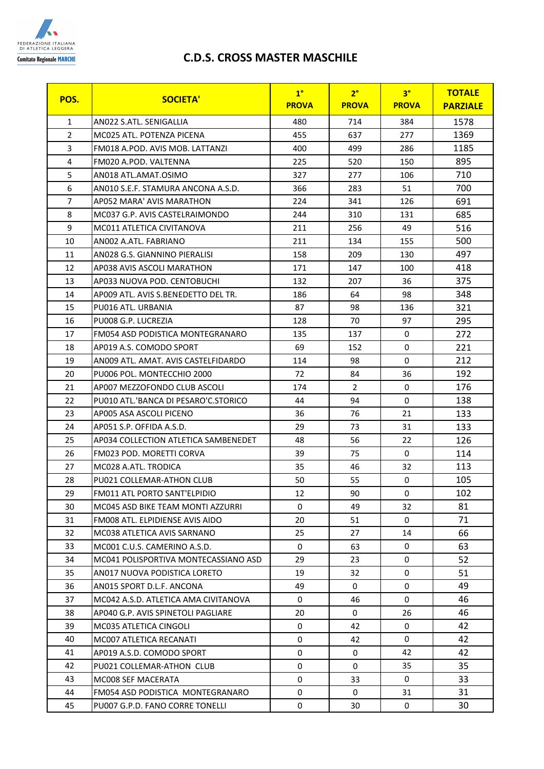

## **C.D.S. CROSS MASTER MASCHILE**

| POS.           | <b>SOCIETA'</b>                      | 1 <sup>°</sup> | 2 <sup>°</sup> | 3 <sup>°</sup> | <b>TOTALE</b>   |
|----------------|--------------------------------------|----------------|----------------|----------------|-----------------|
|                |                                      | <b>PROVA</b>   | <b>PROVA</b>   | <b>PROVA</b>   | <b>PARZIALE</b> |
| $\mathbf{1}$   | AN022 S.ATL. SENIGALLIA              | 480            | 714            | 384            | 1578            |
| $\overline{2}$ | MC025 ATL. POTENZA PICENA            | 455            | 637            | 277            | 1369            |
| 3              | FM018 A.POD. AVIS MOB. LATTANZI      | 400            | 499            | 286            | 1185            |
| 4              | FM020 A.POD. VALTENNA                | 225            | 520            | 150            | 895             |
| 5              | AN018 ATL.AMAT.OSIMO                 | 327            | 277            | 106            | 710             |
| 6              | AN010 S.E.F. STAMURA ANCONA A.S.D.   | 366            | 283            | 51             | 700             |
| $\overline{7}$ | AP052 MARA' AVIS MARATHON            | 224            | 341            | 126            | 691             |
| 8              | MC037 G.P. AVIS CASTELRAIMONDO       | 244            | 310            | 131            | 685             |
| 9              | MC011 ATLETICA CIVITANOVA            | 211            | 256            | 49             | 516             |
| 10             | ANO02 A.ATL. FABRIANO                | 211            | 134            | 155            | 500             |
| 11             | AN028 G.S. GIANNINO PIERALISI        | 158            | 209            | 130            | 497             |
| 12             | AP038 AVIS ASCOLI MARATHON           | 171            | 147            | 100            | 418             |
| 13             | AP033 NUOVA POD. CENTOBUCHI          | 132            | 207            | 36             | 375             |
| 14             | AP009 ATL. AVIS S.BENEDETTO DEL TR.  | 186            | 64             | 98             | 348             |
| 15             | PU016 ATL. URBANIA                   | 87             | 98             | 136            | 321             |
| 16             | PU008 G.P. LUCREZIA                  | 128            | 70             | 97             | 295             |
| 17             | FM054 ASD PODISTICA MONTEGRANARO     | 135            | 137            | 0              | 272             |
| 18             | AP019 A.S. COMODO SPORT              | 69             | 152            | 0              | 221             |
| 19             | ANO09 ATL. AMAT. AVIS CASTELFIDARDO  | 114            | 98             | $\Omega$       | 212             |
| 20             | PU006 POL. MONTECCHIO 2000           | 72             | 84             | 36             | 192             |
| 21             | AP007 MEZZOFONDO CLUB ASCOLI         | 174            | $\overline{2}$ | $\mathbf 0$    | 176             |
| 22             | PU010 ATL.'BANCA DI PESARO'C.STORICO | 44             | 94             | 0              | 138             |
| 23             | AP005 ASA ASCOLI PICENO              | 36             | 76             | 21             | 133             |
| 24             | AP051 S.P. OFFIDA A.S.D.             | 29             | 73             | 31             | 133             |
| 25             | AP034 COLLECTION ATLETICA SAMBENEDET | 48             | 56             | 22             | 126             |
| 26             | FM023 POD. MORETTI CORVA             | 39             | 75             | $\mathbf 0$    | 114             |
| 27             | MC028 A.ATL. TRODICA                 | 35             | 46             | 32             | 113             |
| 28             | PU021 COLLEMAR-ATHON CLUB            | 50             | 55             | 0              | 105             |
| 29             | FM011 ATL PORTO SANT'ELPIDIO         | 12             | 90             | 0              | 102             |
| 30             | MC045 ASD BIKE TEAM MONTI AZZURRI    | 0              | 49             | 32.            | 81              |
| 31             | FM008 ATL. ELPIDIENSE AVIS AIDO      | 20             | 51             | $\mathbf 0$    | 71              |
| 32             | MC038 ATLETICA AVIS SARNANO          | 25             | 27             | 14             | 66              |
| 33             | MC001 C.U.S. CAMERINO A.S.D.         | 0              | 63             | 0              | 63              |
| 34             | MC041 POLISPORTIVA MONTECASSIANO ASD | 29             | 23             | $\mathbf 0$    | 52              |
| 35             | AN017 NUOVA PODISTICA LORETO         | 19             | 32             | 0              | 51              |
| 36             | AN015 SPORT D.L.F. ANCONA            | 49             | $\Omega$       | 0              | 49              |
| 37             | MC042 A.S.D. ATLETICA AMA CIVITANOVA | 0              | 46             | 0              | 46              |
| 38             | AP040 G.P. AVIS SPINETOLI PAGLIARE   | 20             | $\mathbf 0$    | 26             | 46              |
| 39             | MC035 ATLETICA CINGOLI               | 0              | 42             | 0              | 42              |
| 40             | MC007 ATLETICA RECANATI              | 0              | 42             | 0              | 42              |
| 41             | AP019 A.S.D. COMODO SPORT            | 0              | $\mathbf 0$    | 42             | 42              |
| 42             | PU021 COLLEMAR-ATHON CLUB            | 0              | 0              | 35             | 35              |
| 43             | MC008 SEF MACERATA                   | 0              | 33             | 0              | 33              |
| 44             | FM054 ASD PODISTICA MONTEGRANARO     | 0              | 0              | 31             | 31              |
| 45             | PU007 G.P.D. FANO CORRE TONELLI      | 0              | 30             | 0              | 30              |